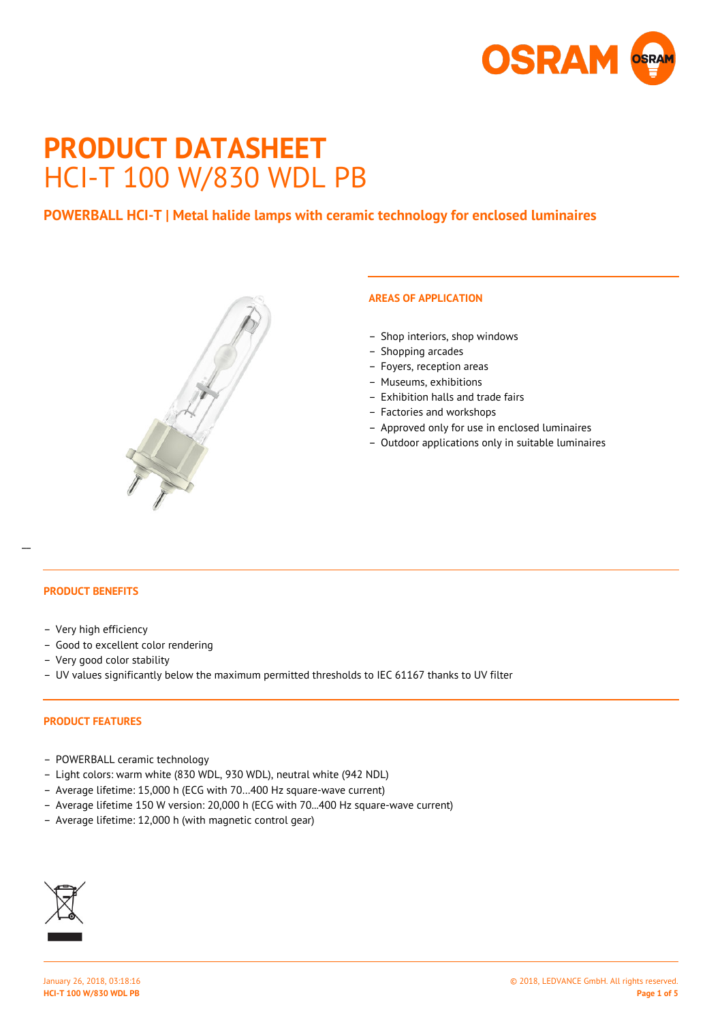

# **PRODUCT DATASHEET** HCI-T 100 W/830 WDL PB

# **POWERBALL HCI-T | Metal halide lamps with ceramic technology for enclosed luminaires**



# **AREAS OF APPLICATION**

- Shop interiors, shop windows
- Shopping arcades
- Foyers, reception areas
- Museums, exhibitions
- Exhibition halls and trade fairs
- Factories and workshops
- Approved only for use in enclosed luminaires
- Outdoor applications only in suitable luminaires

## **PRODUCT BENEFITS**

 $\overline{a}$ 

- Very high efficiency
- Good to excellent color rendering
- Very good color stability
- UV values significantly below the maximum permitted thresholds to IEC 61167 thanks to UV filter

#### **PRODUCT FEATURES**

- POWERBALL ceramic technology
- Light colors: warm white (830 WDL, 930 WDL), neutral white (942 NDL)
- Average lifetime: 15,000 h (ECG with 70…400 Hz square-wave current)
- Average lifetime 150 W version: 20,000 h (ECG with 70...400 Hz square-wave current)
- Average lifetime: 12,000 h (with magnetic control gear)

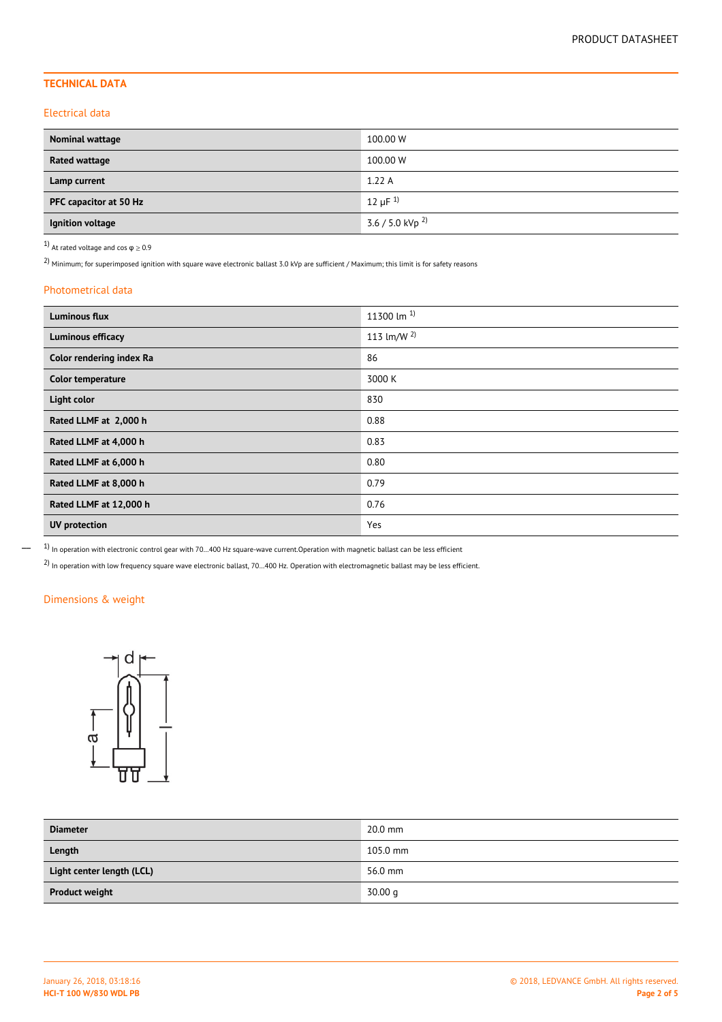## **TECHNICAL DATA**

#### Electrical data

| Nominal wattage        | 100.00 W                      |
|------------------------|-------------------------------|
| Rated wattage          | 100.00 W                      |
| Lamp current           | 1.22A                         |
| PFC capacitor at 50 Hz | 12 $\mu$ F <sup>1)</sup>      |
| Ignition voltage       | $3.6 / 5.0$ kVp <sup>2)</sup> |

1) At rated voltage and cos  $\varphi \geq 0.9$ 

 $2)$  Minimum; for superimposed ignition with square wave electronic ballast 3.0 kVp are sufficient / Maximum; this limit is for safety reasons

#### Photometrical data

| <b>Luminous flux</b>     | 11300 lm $^{1}$        |
|--------------------------|------------------------|
| <b>Luminous efficacy</b> | 113 $\text{Im/W}^{2)}$ |
| Color rendering index Ra | 86                     |
| Color temperature        | 3000 K                 |
| Light color              | 830                    |
| Rated LLMF at 2,000 h    | 0.88                   |
| Rated LLMF at 4,000 h    | 0.83                   |
| Rated LLMF at 6,000 h    | 0.80                   |
| Rated LLMF at 8,000 h    | 0.79                   |
| Rated LLMF at 12,000 h   | 0.76                   |
| <b>UV</b> protection     | Yes                    |

 $1)$  In operation with electronic control gear with 70...400 Hz square-wave current.Operation with magnetic ballast can be less efficient

2) In operation with low frequency square wave electronic ballast, 70…400 Hz. Operation with electromagnetic ballast may be less efficient.

## Dimensions & weight

 $\overline{\phantom{0}}$ 



| <b>Diameter</b>           | $20.0$ mm  |
|---------------------------|------------|
| Length                    | $105.0$ mm |
| Light center length (LCL) | 56.0 mm    |
| <b>Product weight</b>     | 30.00 q    |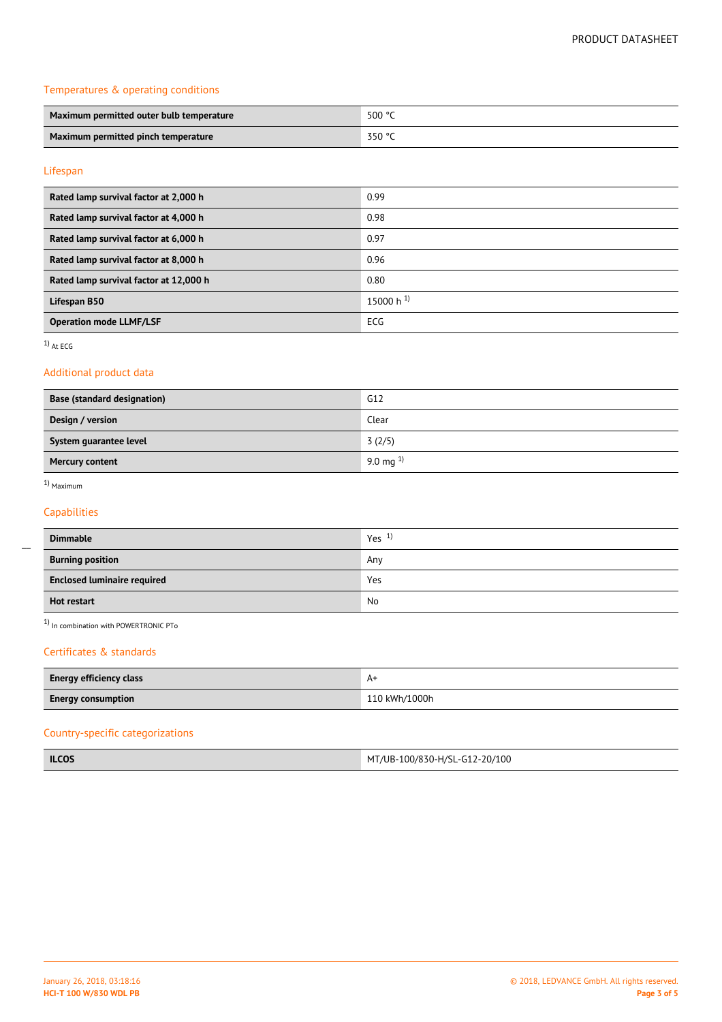## Temperatures & operating conditions

| Maximum permitted outer bulb temperature | 500 °C   |
|------------------------------------------|----------|
| Maximum permitted pinch temperature      | _ 350 °C |

## Lifespan

| Rated lamp survival factor at 2,000 h  | 0.99           |
|----------------------------------------|----------------|
| Rated lamp survival factor at 4,000 h  | 0.98           |
| Rated lamp survival factor at 6,000 h  | 0.97           |
| Rated lamp survival factor at 8,000 h  | 0.96           |
| Rated lamp survival factor at 12,000 h | 0.80           |
| Lifespan B50                           | 15000 h $^{1}$ |
| <b>Operation mode LLMF/LSF</b>         | ECG            |

1) At ECG

## Additional product data

| Base (standard designation) | G12           |
|-----------------------------|---------------|
| Design / version            | Clear         |
| System guarantee level      | 3(2/5)        |
| <b>Mercury content</b>      | 9.0 mg $^{1}$ |

## 1) Maximum

 $\overline{a}$ 

## Capabilities

| <b>Dimmable</b>                    | Yes <sup>1</sup> |
|------------------------------------|------------------|
| <b>Burning position</b>            | Any              |
| <b>Enclosed luminaire required</b> | Yes              |
| Hot restart                        | No               |

1) In combination with POWERTRONIC PTo

#### Certificates & standards

| Energy efficiency class   | A۰            |
|---------------------------|---------------|
| <b>Energy consumption</b> | 110 kWh/1000h |

## Country-specific categorizations

| <b>ILCOS</b> | MT/UB-100/830-H/SL-G12-20/100 |
|--------------|-------------------------------|
|--------------|-------------------------------|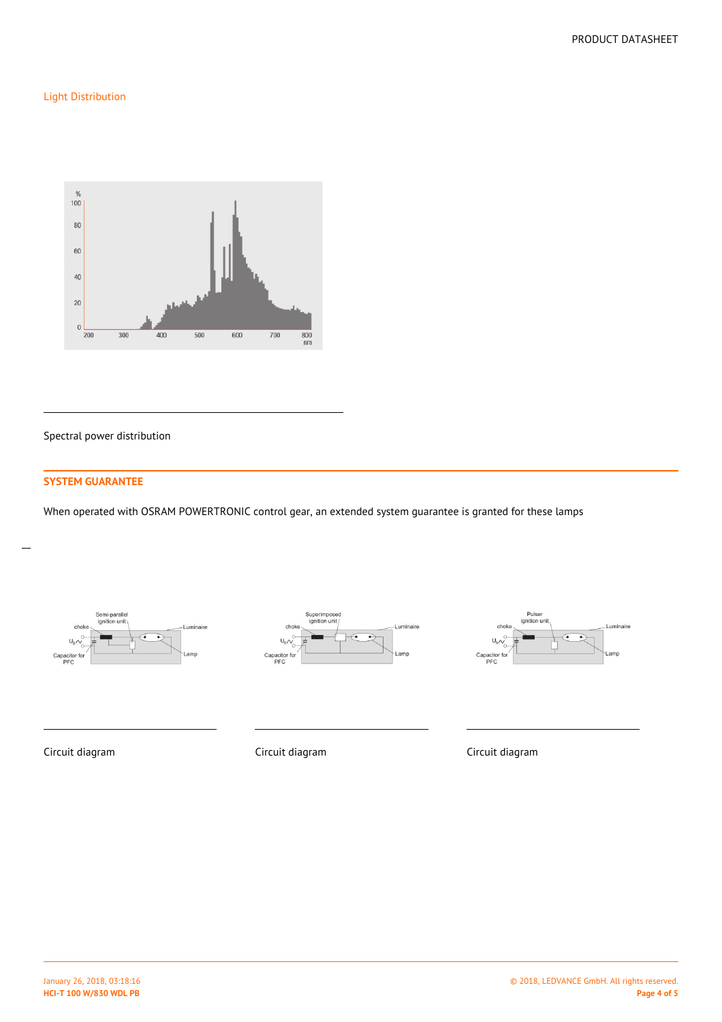## Light Distribution



Spectral power distribution

## **SYSTEM GUARANTEE**

 $\overline{a}$ 

When operated with OSRAM POWERTRONIC control gear, an extended system guarantee is granted for these lamps







Circuit diagram Circuit diagram Circuit diagram